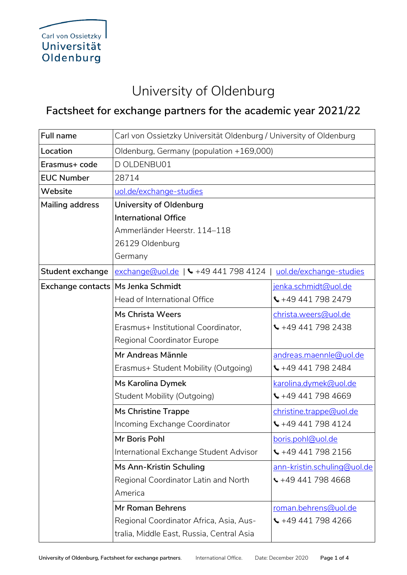## University of Oldenburg

## **Factsheet for exchange partners for the academic year 2021/22**

| <b>Full name</b>  | Carl von Ossietzky Universität Oldenburg / University of Oldenburg |                                 |  |
|-------------------|--------------------------------------------------------------------|---------------------------------|--|
| Location          | Oldenburg, Germany (population +169,000)                           |                                 |  |
| Erasmus+ code     | D OLDENBU01                                                        |                                 |  |
| <b>EUC Number</b> | 28714                                                              |                                 |  |
| Website           | uol.de/exchange-studies                                            |                                 |  |
| Mailing address   | University of Oldenburg                                            |                                 |  |
|                   | <b>International Office</b>                                        |                                 |  |
|                   | Ammerländer Heerstr. 114-118                                       |                                 |  |
|                   | 26129 Oldenburg                                                    |                                 |  |
|                   | Germany                                                            |                                 |  |
| Student exchange  | exchange@uol.de   \ +49 441 798 4124                               | uol.de/exchange-studies         |  |
| Exchange contacts | Ms Jenka Schmidt                                                   | jenka.schmidt@uol.de            |  |
|                   | Head of International Office                                       | $\binom{4494417982479}{$        |  |
|                   | <b>Ms Christa Weers</b>                                            | christa.weers@uol.de            |  |
|                   | Erasmus+ Institutional Coordinator,                                | $\binom{1}{2}$ +49 441 798 2438 |  |
|                   | Regional Coordinator Europe                                        |                                 |  |
|                   | Mr Andreas Männle                                                  | andreas.maennle@uol.de          |  |
|                   | Erasmus+ Student Mobility (Outgoing)                               | $\binom{4494417982484}{$        |  |
|                   | Ms Karolina Dymek                                                  | karolina.dymek@uol.de           |  |
|                   | Student Mobility (Outgoing)                                        | $\binom{1}{2}$ +49 441 798 4669 |  |
|                   | <b>Ms Christine Trappe</b>                                         | christine.trappe@uol.de         |  |
|                   | Incoming Exchange Coordinator                                      | $\binom{4494417984124}{$        |  |
|                   | Mr Boris Pohl                                                      | boris.pohl@uol.de               |  |
|                   | International Exchange Student Advisor                             | $\binom{1}{2}$ +49 441 798 2156 |  |
|                   | Ms Ann-Kristin Schuling                                            | ann-kristin.schuling@uol.de     |  |
|                   | Regional Coordinator Latin and North                               | $\frac{126}{1494417984668}$     |  |
|                   | America                                                            |                                 |  |
|                   | <b>Mr Roman Behrens</b>                                            | roman.behrens@uol.de            |  |
|                   | Regional Coordinator Africa, Asia, Aus-                            | $\binom{4494417984266}{$        |  |
|                   | tralia, Middle East, Russia, Central Asia                          |                                 |  |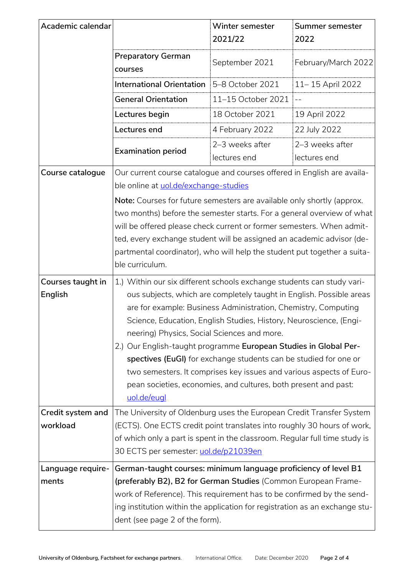| Academic calendar             |                                                                                                                                                                                                                                                                                                                                                                                                                                                                                                                                                                                                                                        | Winter semester<br>2021/22      | Summer semester<br>2022         |
|-------------------------------|----------------------------------------------------------------------------------------------------------------------------------------------------------------------------------------------------------------------------------------------------------------------------------------------------------------------------------------------------------------------------------------------------------------------------------------------------------------------------------------------------------------------------------------------------------------------------------------------------------------------------------------|---------------------------------|---------------------------------|
|                               | <b>Preparatory German</b><br>courses                                                                                                                                                                                                                                                                                                                                                                                                                                                                                                                                                                                                   | September 2021                  | February/March 2022             |
|                               | <b>International Orientation</b>                                                                                                                                                                                                                                                                                                                                                                                                                                                                                                                                                                                                       | 5-8 October 2021                | 11 – 15 April 2022              |
|                               | <b>General Orientation</b>                                                                                                                                                                                                                                                                                                                                                                                                                                                                                                                                                                                                             | 11-15 October 2021              |                                 |
|                               | Lectures begin                                                                                                                                                                                                                                                                                                                                                                                                                                                                                                                                                                                                                         | 18 October 2021                 | 19 April 2022                   |
|                               | Lectures end                                                                                                                                                                                                                                                                                                                                                                                                                                                                                                                                                                                                                           | 4 February 2022                 | 22 July 2022                    |
|                               | <b>Examination period</b>                                                                                                                                                                                                                                                                                                                                                                                                                                                                                                                                                                                                              | 2-3 weeks after<br>lectures end | 2-3 weeks after<br>lectures end |
| Course catalogue              | Our current course catalogue and courses offered in English are availa-<br>ble online at uol.de/exchange-studies<br>Note: Courses for future semesters are available only shortly (approx.<br>two months) before the semester starts. For a general overview of what<br>will be offered please check current or former semesters. When admit-<br>ted, every exchange student will be assigned an academic advisor (de-<br>partmental coordinator), who will help the student put together a suita-<br>ble curriculum.                                                                                                                  |                                 |                                 |
|                               |                                                                                                                                                                                                                                                                                                                                                                                                                                                                                                                                                                                                                                        |                                 |                                 |
| Courses taught in<br>English  | 1.) Within our six different schools exchange students can study vari-<br>ous subjects, which are completely taught in English. Possible areas<br>are for example: Business Administration, Chemistry, Computing<br>Science, Education, English Studies, History, Neuroscience, (Engi-<br>neering) Physics, Social Sciences and more.<br>2.) Our English-taught programme European Studies in Global Per-<br>spectives (EuGI) for exchange students can be studied for one or<br>two semesters. It comprises key issues and various aspects of Euro-<br>pean societies, economies, and cultures, both present and past:<br>uol.de/eugl |                                 |                                 |
| Credit system and<br>workload | The University of Oldenburg uses the European Credit Transfer System<br>(ECTS). One ECTS credit point translates into roughly 30 hours of work,<br>of which only a part is spent in the classroom. Regular full time study is<br>30 ECTS per semester: <u>uol.de/p21039en</u>                                                                                                                                                                                                                                                                                                                                                          |                                 |                                 |
| Language require-<br>ments    | German-taught courses: minimum language proficiency of level B1<br>(preferably B2), B2 for German Studies (Common European Frame-<br>work of Reference). This requirement has to be confirmed by the send-<br>ing institution within the application for registration as an exchange stu-<br>dent (see page 2 of the form).                                                                                                                                                                                                                                                                                                            |                                 |                                 |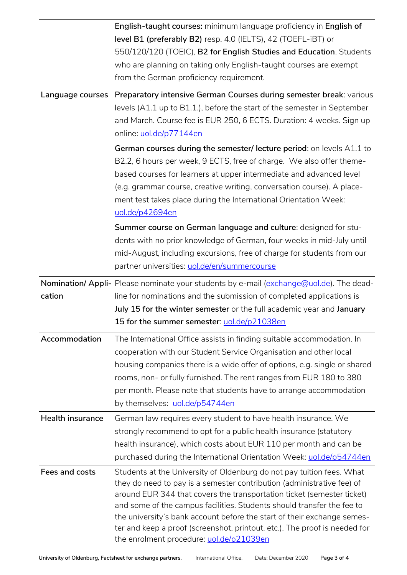|                         | English-taught courses: minimum language proficiency in English of<br>level B1 (preferably B2) resp. 4.0 (IELTS), 42 (TOEFL-iBT) or                                                                                                                                                                                                                                                                                                                                                                      |  |
|-------------------------|----------------------------------------------------------------------------------------------------------------------------------------------------------------------------------------------------------------------------------------------------------------------------------------------------------------------------------------------------------------------------------------------------------------------------------------------------------------------------------------------------------|--|
|                         | 550/120/120 (TOEIC), B2 for English Studies and Education. Students<br>who are planning on taking only English-taught courses are exempt<br>from the German proficiency requirement.                                                                                                                                                                                                                                                                                                                     |  |
| Language courses        | Preparatory intensive German Courses during semester break: various                                                                                                                                                                                                                                                                                                                                                                                                                                      |  |
|                         | levels (A1.1 up to B1.1.), before the start of the semester in September<br>and March. Course fee is EUR 250, 6 ECTS. Duration: 4 weeks. Sign up<br>online: uol.de/p77144en                                                                                                                                                                                                                                                                                                                              |  |
|                         | German courses during the semester/lecture period: on levels A1.1 to<br>B2.2, 6 hours per week, 9 ECTS, free of charge. We also offer theme-<br>based courses for learners at upper intermediate and advanced level<br>(e.g. grammar course, creative writing, conversation course). A place-<br>ment test takes place during the International Orientation Week:<br>uol.de/p42694en                                                                                                                     |  |
|                         | Summer course on German language and culture: designed for stu-<br>dents with no prior knowledge of German, four weeks in mid-July until<br>mid-August, including excursions, free of charge for students from our<br>partner universities: uol.de/en/summercourse                                                                                                                                                                                                                                       |  |
| cation                  | Nomination/ Appli- Please nominate your students by e-mail (exchange@uol.de). The dead-<br>line for nominations and the submission of completed applications is<br>July 15 for the winter semester or the full academic year and January<br>15 for the summer semester: uol.de/p21038en                                                                                                                                                                                                                  |  |
| Accommodation           | The International Office assists in finding suitable accommodation. In<br>cooperation with our Student Service Organisation and other local<br>housing companies there is a wide offer of options, e.g. single or shared<br>rooms, non- or fully furnished. The rent ranges from EUR 180 to 380<br>per month. Please note that students have to arrange accommodation<br>by themselves: uol.de/p54744en                                                                                                  |  |
| <b>Health insurance</b> | German law requires every student to have health insurance. We<br>strongly recommend to opt for a public health insurance (statutory<br>health insurance), which costs about EUR 110 per month and can be<br>purchased during the International Orientation Week: uol.de/p54744en                                                                                                                                                                                                                        |  |
| Fees and costs          | Students at the University of Oldenburg do not pay tuition fees. What<br>they do need to pay is a semester contribution (administrative fee) of<br>around EUR 344 that covers the transportation ticket (semester ticket)<br>and some of the campus facilities. Students should transfer the fee to<br>the university's bank account before the start of their exchange semes-<br>ter and keep a proof (screenshot, printout, etc.). The proof is needed for<br>the enrolment procedure: uol.de/p21039en |  |